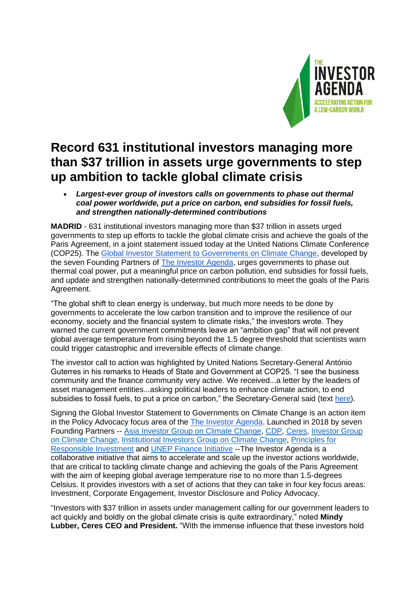

## **Record 631 institutional investors managing more than \$37 trillion in assets urge governments to step up ambition to tackle global climate crisis**

## • *Largest-ever group of investors calls on governments to phase out thermal coal power worldwide, put a price on carbon, end subsidies for fossil fuels, and strengthen nationally-determined contributions*

**MADRID** - 631 institutional investors managing more than \$37 trillion in assets urged governments to step up efforts to tackle the global climate crisis and achieve the goals of the Paris Agreement, in a joint statement issued today at the United Nations Climate Conference (COP25). The [Global Investor Statement to Governments on Climate Change,](https://theinvestoragenda.org/focus-areas/policy-advocacy/) developed by the seven Founding Partners of [The Investor Agenda,](http://www.theinvestoragenda.org/) urges governments to phase out thermal coal power, put a meaningful price on carbon pollution, end subsidies for fossil fuels, and update and strengthen nationally-determined contributions to meet the goals of the Paris Agreement.

"The global shift to clean energy is underway, but much more needs to be done by governments to accelerate the low carbon transition and to improve the resilience of our economy, society and the financial system to climate risks," the investors wrote. They warned the current government commitments leave an "ambition gap" that will not prevent global average temperature from rising beyond the 1.5 degree threshold that scientists warn could trigger catastrophic and irreversible effects of climate change.

The investor call to action was highlighted by United Nations Secretary-General António Guterres in his remarks to Heads of State and Government at COP25. "I see the business community and the finance community very active. We received...a letter by the leaders of asset management entities...asking political leaders to enhance climate action, to end subsidies to fossil fuels, to put a price on carbon," the Secretary-General said (text [here\)](http://un.org/sg/en/content/sg/statement/2019-12-02/secretary-generals-remarks-roundtable-heads-of-state-government-cop25).

Signing the Global Investor Statement to Governments on Climate Change is an action item in the Policy Advocacy focus area of the [The Investor Agenda.](https://theinvestoragenda.org/) Launched in 2018 by seven Founding Partners -- [Asia Investor Group on Climate Change,](http://aigcc.net/) [CDP,](https://www.cdp.net/en) [Ceres,](https://www.ceres.org/) [Investor Group](https://igcc.org.au/)  [on Climate Change,](https://igcc.org.au/) [Institutional Investors Group on Climate Change,](http://www.iigcc.org/) [Principles for](https://www.unpri.org/)  [Responsible Investment](https://www.unpri.org/) and [UNEP Finance Initiative](http://www.unepfi.org/) --The Investor Agenda is a collaborative initiative that aims to accelerate and scale up the investor actions worldwide, that are critical to tackling climate change and achieving the goals of the Paris Agreement with the aim of keeping global average temperature rise to no more than 1.5-degrees Celsius. It provides investors with a set of actions that they can take in four key focus areas: Investment, Corporate Engagement, Investor Disclosure and Policy Advocacy.

"Investors with \$37 trillion in assets under management calling for our government leaders to act quickly and boldly on the global climate crisis is quite extraordinary," noted **Mindy Lubber, Ceres CEO and President.** "With the immense influence that these investors hold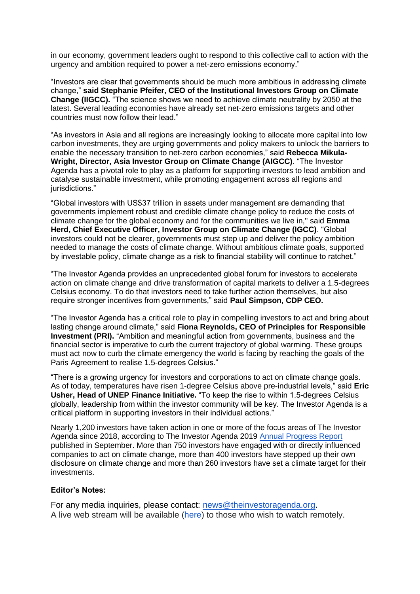in our economy, government leaders ought to respond to this collective call to action with the urgency and ambition required to power a net-zero emissions economy."

"Investors are clear that governments should be much more ambitious in addressing climate change," **said Stephanie Pfeifer, CEO of the Institutional Investors Group on Climate Change (IIGCC).** "The science shows we need to achieve climate neutrality by 2050 at the latest. Several leading economies have already set net-zero emissions targets and other countries must now follow their lead."

"As investors in Asia and all regions are increasingly looking to allocate more capital into low carbon investments, they are urging governments and policy makers to unlock the barriers to enable the necessary transition to net-zero carbon economies," said **Rebecca Mikula-Wright, Director, Asia Investor Group on Climate Change (AIGCC)**. "The Investor Agenda has a pivotal role to play as a platform for supporting investors to lead ambition and catalyse sustainable investment, while promoting engagement across all regions and jurisdictions."

"Global investors with US\$37 trillion in assets under management are demanding that governments implement robust and credible climate change policy to reduce the costs of climate change for the global economy and for the communities we live in,'' said **Emma Herd, Chief Executive Officer, Investor Group on Climate Change (IGCC)**. "Global investors could not be clearer, governments must step up and deliver the policy ambition needed to manage the costs of climate change. Without ambitious climate goals, supported by investable policy, climate change as a risk to financial stability will continue to ratchet."

"The Investor Agenda provides an unprecedented global forum for investors to accelerate action on climate change and drive transformation of capital markets to deliver a 1.5-degrees Celsius economy. To do that investors need to take further action themselves, but also require stronger incentives from governments," said **Paul Simpson, CDP CEO.**

"The Investor Agenda has a critical role to play in compelling investors to act and bring about lasting change around climate," said **Fiona Reynolds, CEO of Principles for Responsible Investment (PRI).** "Ambition and meaningful action from governments, business and the financial sector is imperative to curb the current trajectory of global warming. These groups must act now to curb the climate emergency the world is facing by reaching the goals of the Paris Agreement to realise 1.5-degrees Celsius."

"There is a growing urgency for investors and corporations to act on climate change goals. As of today, temperatures have risen 1-degree Celsius above pre-industrial levels," said **Eric Usher, Head of UNEP Finance Initiative.** "To keep the rise to within 1.5-degrees Celsius globally, leadership from within the investor community will be key. The Investor Agenda is a critical platform in supporting investors in their individual actions."

Nearly 1,200 investors have taken action in one or more of the focus areas of The Investor Agenda since 2018, according to The Investor Agenda 2019 [Annual Progress Report](https://theinvestoragenda.org/progress-report) published in September. More than 750 investors have engaged with or directly influenced companies to act on climate change, more than 400 investors have stepped up their own disclosure on climate change and more than 260 investors have set a climate target for their investments.

## **Editor's Notes:**

For any media inquiries, please contact: [news@theinvestoragenda.org.](mailto:news@theinvestoragenda.org) A live web stream will be available [\(here\)](https://join-emea.broadcast.skype.com/unfccc365.onmicrosoft.com/e521dde245db470897aa9a8ad48b64bb/en-US/) to those who wish to watch remotely.